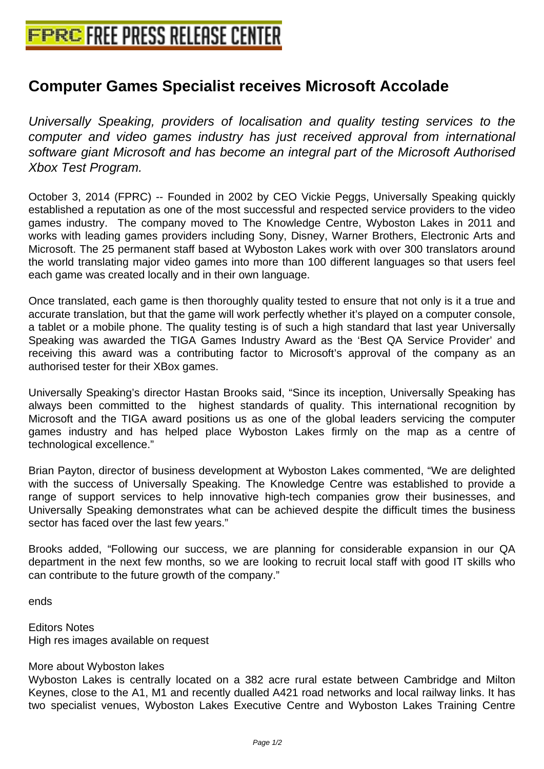## **[Computer Games Specialist receiv](http://www.free-press-release-center.info)es Microsoft Accolade**

Universally Speaking, providers of localisation and quality testing services to the computer and video games industry has just received approval from international software giant Microsoft and has become an integral part of the Microsoft Authorised Xbox Test Program.

October 3, 2014 (FPRC) -- Founded in 2002 by CEO Vickie Peggs, Universally Speaking quickly established a reputation as one of the most successful and respected service providers to the video games industry. The company moved to The Knowledge Centre, Wyboston Lakes in 2011 and works with leading games providers including Sony, Disney, Warner Brothers, Electronic Arts and Microsoft. The 25 permanent staff based at Wyboston Lakes work with over 300 translators around the world translating major video games into more than 100 different languages so that users feel each game was created locally and in their own language.

Once translated, each game is then thoroughly quality tested to ensure that not only is it a true and accurate translation, but that the game will work perfectly whether it's played on a computer console, a tablet or a mobile phone. The quality testing is of such a high standard that last year Universally Speaking was awarded the TIGA Games Industry Award as the 'Best QA Service Provider' and receiving this award was a contributing factor to Microsoft's approval of the company as an authorised tester for their XBox games.

Universally Speaking's director Hastan Brooks said, "Since its inception, Universally Speaking has always been committed to the highest standards of quality. This international recognition by Microsoft and the TIGA award positions us as one of the global leaders servicing the computer games industry and has helped place Wyboston Lakes firmly on the map as a centre of technological excellence."

Brian Payton, director of business development at Wyboston Lakes commented, "We are delighted with the success of Universally Speaking. The Knowledge Centre was established to provide a range of support services to help innovative high-tech companies grow their businesses, and Universally Speaking demonstrates what can be achieved despite the difficult times the business sector has faced over the last few years."

Brooks added, "Following our success, we are planning for considerable expansion in our QA department in the next few months, so we are looking to recruit local staff with good IT skills who can contribute to the future growth of the company."

ends

Editors Notes High res images available on request

## More about Wyboston lakes

Wyboston Lakes is centrally located on a 382 acre rural estate between Cambridge and Milton Keynes, close to the A1, M1 and recently dualled A421 road networks and local railway links. It has two specialist venues, Wyboston Lakes Executive Centre and Wyboston Lakes Training Centre